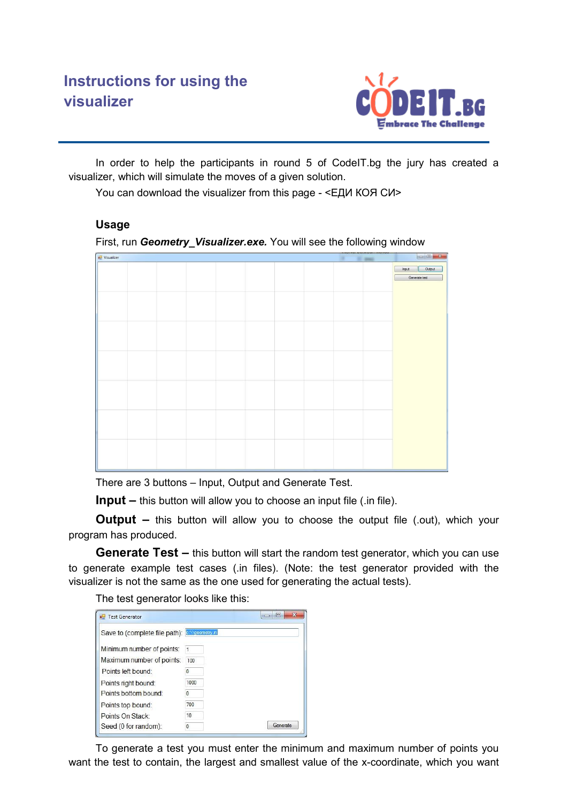

In order to help the participants in round 5 of CodeIT.bg the jury has created a visualizer, which will simulate the moves of a given solution.

You can download the visualizer from this page - <ЕДИ КОЯ СИ>

## **Usage**

First, run **Geometry Visualizer.exe.** You will see the following window



There are 3 buttons – Input, Output and Generate Test.

**Input** – this button will allow you to choose an input file (.in file).

**Output –** this button will allow you to choose the output file (.out), which your program has produced.

**Generate Test –** this button will start the random test generator, which you can use to generate example test cases (.in files). (Note: the test generator provided with the visualizer is not the same as the one used for generating the actual tests).

The test generator looks like this:

| Save to (complete file path): save onetry in |          |          |
|----------------------------------------------|----------|----------|
| Minimum number of points:                    |          |          |
| Maximum number of points:                    | 100      |          |
| Points left bound:                           | n        |          |
| Points right bound:                          | 1000     |          |
| Points bottom bound:                         | O        |          |
| Points top bound:                            | 700      |          |
| Points On Stack:                             | 10       |          |
| Seed (0 for random):                         | $\theta$ | Generate |

To generate a test you must enter the minimum and maximum number of points you want the test to contain, the largest and smallest value of the x-coordinate, which you want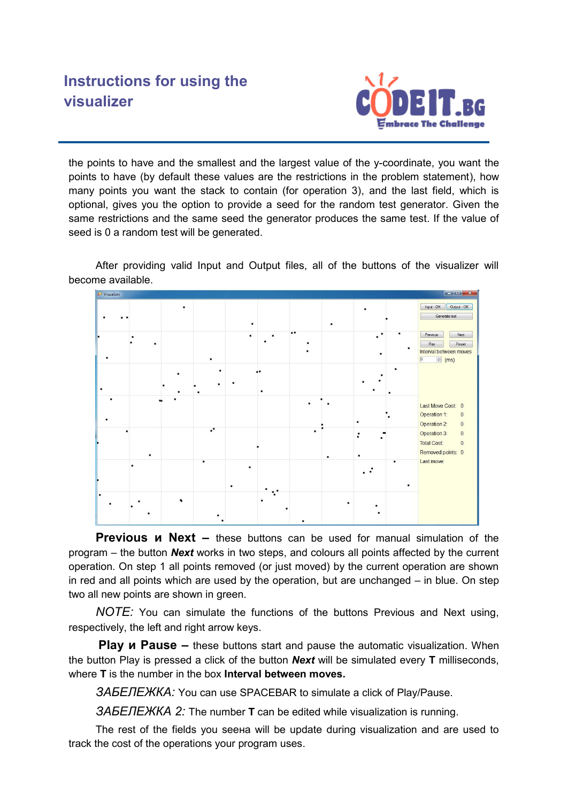## **Instructions for using the visualizer**



the points to have and the smallest and the largest value of the y-coordinate, you want the points to have (by default these values are the restrictions in the problem statement), how many points you want the stack to contain (for operation 3), and the last field, which is optional, gives you the option to provide a seed for the random test generator. Given the same restrictions and the same seed the generator produces the same test. If the value of seed is 0 a random test will be generated.

After providing valid Input and Output files, all of the buttons of the visualizer will become available.



**Previous и Next –** these buttons can be used for manual simulation of the program – the button *Next* works in two steps, and colours all points affected by the current operation. On step 1 all points removed (or just moved) by the current operation are shown in red and all points which are used by the operation, but are unchanged – in blue. On step two all new points are shown in green.

*NOTE:* You can simulate the functions of the buttons Previous and Next using, respectively, the left and right arrow keys.

**Play и Pause –** these buttons start and pause the automatic visualization. When the button Play is pressed a click of the button *Next* will be simulated every **T** milliseconds, where **T** is the number in the box **Interval between moves.** 

3A*BENEXKA*: You can use SPACEBAR to simulate a click of Play/Pause.

*ɁȺȻȿɅȿɀɄȺ 2:* The number **<sup>Т</sup>** can be edited while visualization is running.

The rest of the fields you seena will be update during visualization and are used to track the cost of the operations your program uses.